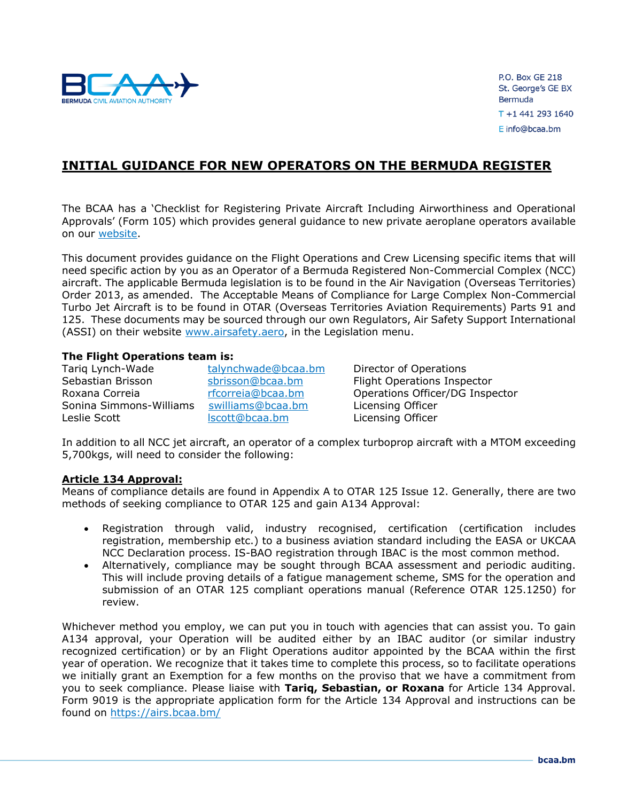

P.O. Box GE 218 St. George's GE BX Bermuda T +1 441 293 1640 E info@bcaa.bm

# **INITIAL GUIDANCE FOR NEW OPERATORS ON THE BERMUDA REGISTER**

The BCAA has a 'Checklist for Registering Private Aircraft Including Airworthiness and Operational Approvals' (Form 105) which provides general guidance to new private aeroplane operators available on our [website.](https://www.bcaa.bm/how-register)

This document provides guidance on the Flight Operations and Crew Licensing specific items that will need specific action by you as an Operator of a Bermuda Registered Non-Commercial Complex (NCC) aircraft. The applicable Bermuda legislation is to be found in the Air Navigation (Overseas Territories) Order 2013, as amended. The Acceptable Means of Compliance for Large Complex Non-Commercial Turbo Jet Aircraft is to be found in OTAR (Overseas Territories Aviation Requirements) Parts 91 and 125. These documents may be sourced through our own Regulators, Air Safety Support International (ASSI) on their website [www.airsafety.aero,](http://www.airsafety.aero/) in the Legislation menu.

# **The Flight Operations team is:**

Tariq Lynch-Wade [talynchwade@bcaa.bm](mailto:talynchwade@bcaa.bm) Director of Operations Sebastian Brisson **Share Sebastian Brisson** [sbrisson@bcaa.bm](mailto:sbrisson@bcaa.bm) Flight Operations Inspector Sonina Simmons-Williams [swilliams@bcaa.bm](mailto:swilliams@bcaa.bm) Licensing Officer Leslie Scott **Licensing Officer** [lscott@bcaa.bm](mailto:lscott@bcaa.bm) Licensing Officer

Roxana Correia **[rfcorreia@bcaa.bm](mailto:rfcorreia@bcaa.bm)** Operations Officer/DG Inspector

In addition to all NCC jet aircraft, an operator of a complex turboprop aircraft with a MTOM exceeding 5,700kgs, will need to consider the following:

## **Article 134 Approval:**

Means of compliance details are found in Appendix A to OTAR 125 Issue 12. Generally, there are two methods of seeking compliance to OTAR 125 and gain A134 Approval:

- Registration through valid, industry recognised, certification (certification includes registration, membership etc.) to a business aviation standard including the EASA or UKCAA NCC Declaration process. IS-BAO registration through IBAC is the most common method.
- Alternatively, compliance may be sought through BCAA assessment and periodic auditing. This will include proving details of a fatigue management scheme, SMS for the operation and submission of an OTAR 125 compliant operations manual (Reference OTAR 125.1250) for review.

Whichever method you employ, we can put you in touch with agencies that can assist you. To gain A134 approval, your Operation will be audited either by an IBAC auditor (or similar industry recognized certification) or by an Flight Operations auditor appointed by the BCAA within the first year of operation. We recognize that it takes time to complete this process, so to facilitate operations we initially grant an Exemption for a few months on the proviso that we have a commitment from you to seek compliance. Please liaise with **Tariq, Sebastian, or Roxana** for Article 134 Approval. Form 9019 is the appropriate application form for the Article 134 Approval and instructions can be found on<https://airs.bcaa.bm/>